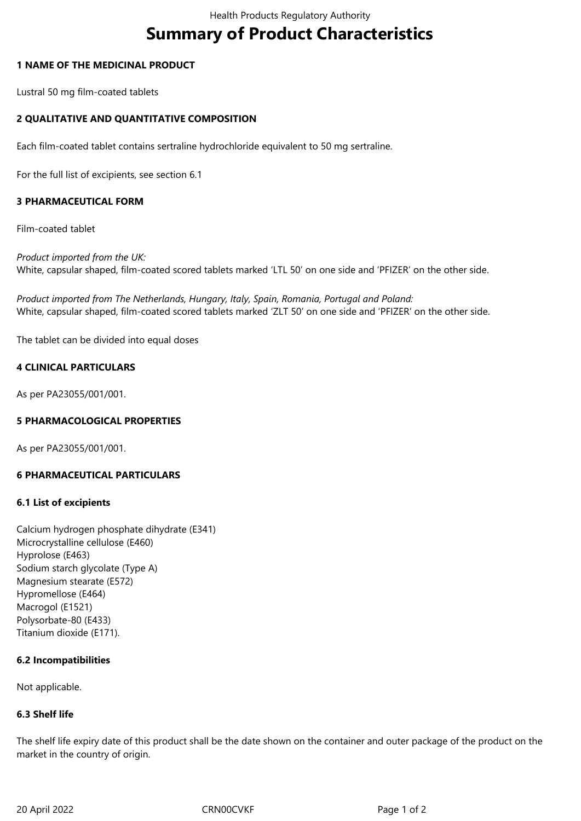# **Summary of Product Characteristics**

#### **1 NAME OF THE MEDICINAL PRODUCT**

Lustral 50 mg film-coated tablets

## **2 QUALITATIVE AND QUANTITATIVE COMPOSITION**

Each film-coated tablet contains sertraline hydrochloride equivalent to 50 mg sertraline.

For the full list of excipients, see section 6.1

## **3 PHARMACEUTICAL FORM**

Film-coated tablet

*Product imported from the UK:* White, capsular shaped, film-coated scored tablets marked 'LTL 50' on one side and 'PFIZER' on the other side.

*Product imported from The Netherlands, Hungary, Italy, Spain, Romania, Portugal and Poland:* White, capsular shaped, film-coated scored tablets marked 'ZLT 50' on one side and 'PFIZER' on the other side.

The tablet can be divided into equal doses

#### **4 CLINICAL PARTICULARS**

As per PA23055/001/001.

#### **5 PHARMACOLOGICAL PROPERTIES**

As per PA23055/001/001.

## **6 PHARMACEUTICAL PARTICULARS**

#### **6.1 List of excipients**

Calcium hydrogen phosphate dihydrate (E341) Microcrystalline cellulose (E460) Hyprolose (E463) Sodium starch glycolate (Type A) Magnesium stearate (E572) Hypromellose (E464) Macrogol (E1521) Polysorbate-80 (E433) Titanium dioxide (E171).

#### **6.2 Incompatibilities**

Not applicable.

#### **6.3 Shelf life**

The shelf life expiry date of this product shall be the date shown on the container and outer package of the product on the market in the country of origin.